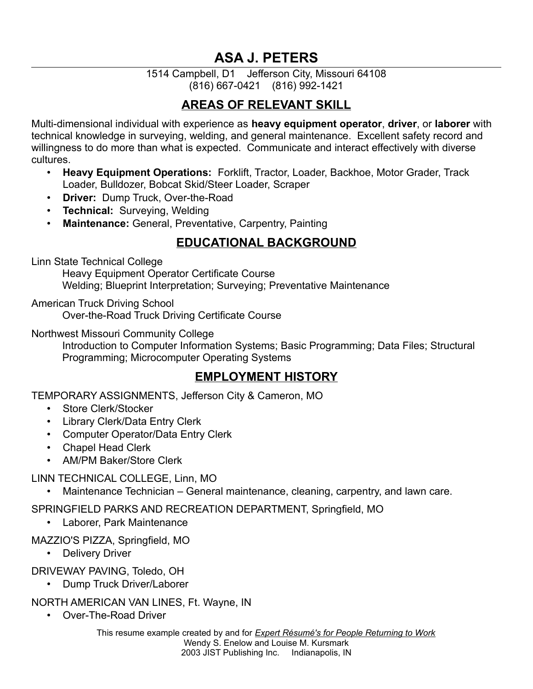# **ASA J. PETERS**

#### 1514 Campbell, D1 Jefferson City, Missouri 64108 (816) 667-0421 (816) 992-1421

#### **AREAS OF RELEVANT SKILL**

Multi-dimensional individual with experience as **heavy equipment operator**, **driver**, or **laborer** with technical knowledge in surveying, welding, and general maintenance. Excellent safety record and willingness to do more than what is expected. Communicate and interact effectively with diverse cultures.

- **Heavy Equipment Operations:** Forklift, Tractor, Loader, Backhoe, Motor Grader, Track Loader, Bulldozer, Bobcat Skid/Steer Loader, Scraper
- **Driver:** Dump Truck, Over-the-Road
- **Technical:** Surveying, Welding
- **Maintenance:** General, Preventative, Carpentry, Painting

#### **EDUCATIONAL BACKGROUND**

Linn State Technical College

Heavy Equipment Operator Certificate Course

Welding; Blueprint Interpretation; Surveying; Preventative Maintenance

American Truck Driving School Over-the-Road Truck Driving Certificate Course

Northwest Missouri Community College

Introduction to Computer Information Systems; Basic Programming; Data Files; Structural Programming; Microcomputer Operating Systems

#### **EMPLOYMENT HISTORY**

TEMPORARY ASSIGNMENTS, Jefferson City & Cameron, MO

- Store Clerk/Stocker
- Library Clerk/Data Entry Clerk
- Computer Operator/Data Entry Clerk
- Chapel Head Clerk
- AM/PM Baker/Store Clerk

LINN TECHNICAL COLLEGE, Linn, MO

• Maintenance Technician – General maintenance, cleaning, carpentry, and lawn care.

SPRINGFIELD PARKS AND RECREATION DEPARTMENT, Springfield, MO

• Laborer, Park Maintenance

#### MAZZIO'S PIZZA, Springfield, MO

• Delivery Driver

DRIVEWAY PAVING, Toledo, OH

• Dump Truck Driver/Laborer

NORTH AMERICAN VAN LINES, Ft. Wayne, IN

• Over-The-Road Driver